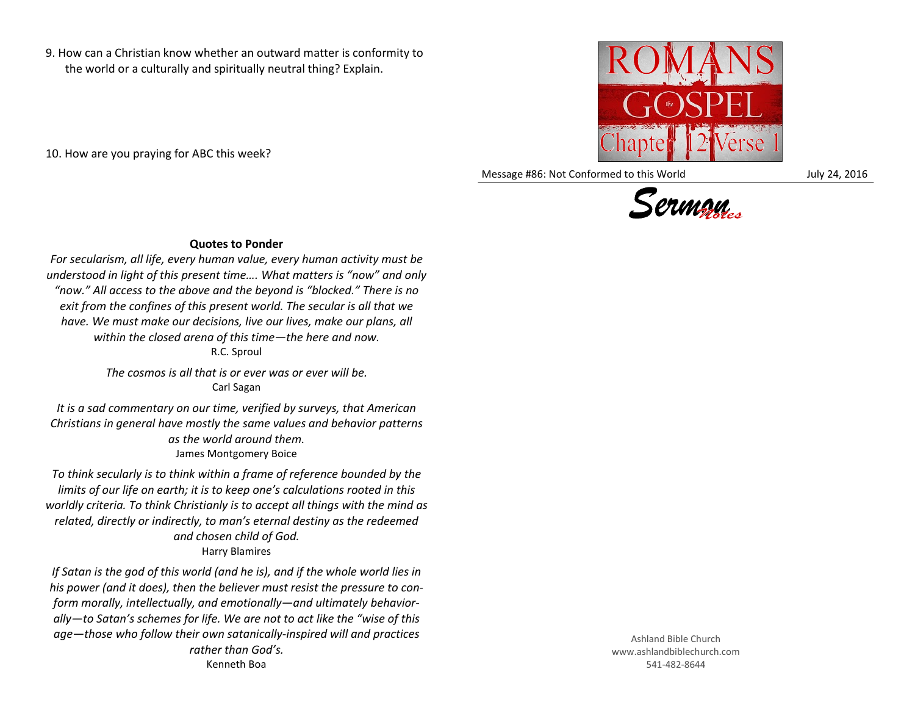9. How can a Christian know whether an outward matter is conformity to the world or a culturally and spiritually neutral thing? Explain.

10. How are you praying for ABC this week?



Message #86: Not Conformed to this World July 24, 2016



## **Quotes to Ponder**

*For secularism, all life, every human value, every human activity must be understood in light of this present time…. What matters is "now" and only "now." All access to the above and the beyond is "blocked." There is no exit from the confines of this present world. The secular is all that we have. We must make our decisions, live our lives, make our plans, all within the closed arena of this time—the here and now.* R.C. Sproul

> *The cosmos is all that is or ever was or ever will be.* Carl Sagan

*It is a sad commentary on our time, verified by surveys, that American Christians in general have mostly the same values and behavior patterns as the world around them.* James Montgomery Boice

*To think secularly is to think within a frame of reference bounded by the limits of our life on earth; it is to keep one's calculations rooted in this worldly criteria. To think Christianly is to accept all things with the mind as related, directly or indirectly, to man's eternal destiny as the redeemed and chosen child of God.* Harry Blamires

*If Satan is the god of this world (and he is), and if the whole world lies in his power (and it does), then the believer must resist the pressure to conform morally, intellectually, and emotionally—and ultimately behaviorally—to Satan's schemes for life. We are not to act like the "wise of this age—those who follow their own satanically-inspired will and practices rather than God's.* Kenneth Boa

Ashland Bible Church www.ashlandbiblechurch.com 541-482-8644